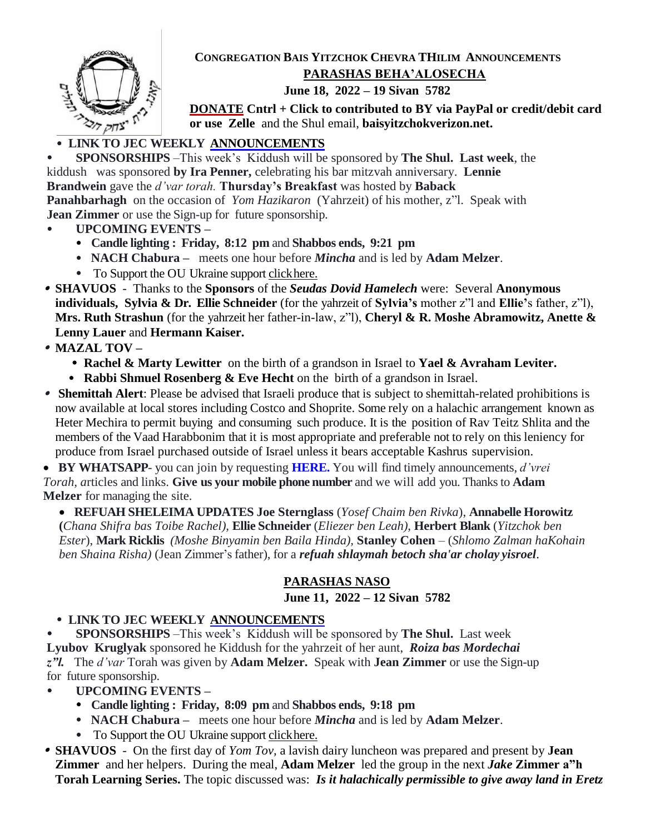

# **CONGREGATION BAIS YITZCHOK CHEVRA THILIM ANNOUNCEMENTS PARASHAS BEHA'ALOSECHA**

### **June 18, 2022 – 19 Sivan 5782**

**[DONATE](https://www.paypal.com/donate?hosted_button_id=BJA2EZTACWGEG) Cntrl + Click to contributed to BY via PayPal or credit/debit card or use Zelle** and the Shul email, **baisyitzchokverizon.net.**

## **LINK TO JEC WEEKLY [ANNOUNCEMENTS](https://thejec.org/weeklyschedule/wklyschedpdf.pdf)**

 **SPONSORSHIPS** –This week's Kiddush will be sponsored by **The Shul. Last week**, the kiddushwas sponsored **by Ira Penner,** celebrating his bar mitzvah anniversary. **Lennie Brandwein** gave the *d'var torah.* **Thursday's Breakfast** was hosted by **Baback Panahbarhagh** on the occasion of *Yom Hazikaron* (Yahrzeit) of his mother, z"l. Speak with **Jean Zimmer** or use the Sign-up for future sponsorship.

- **UPCOMING EVENTS –**
	- **Candle lighting : Friday, 8:12 pm** and **Shabbos ends, 9:21 pm**
	- **NACH Chabura** *–* meets one hour before *Mincha* and is led by **Adam Melzer**.
	- To Support the OU Ukraine suppor[t clickhere.](https://www.ou.org/ukraine/)
- **SHAVUOS**  Thanks to the **Sponsors** of the *Seudas Dovid Hamelech* were: Several **Anonymous individuals, Sylvia & Dr. Ellie Schneider** (for the yahrzeit of **Sylvia's** mother z"l and **Ellie'**s father, z"l), **Mrs. Ruth Strashun** (for the yahrzeit her father-in-law, z"l), **Cheryl & R. Moshe Abramowitz, Anette & Lenny Lauer** and **Hermann Kaiser.**
- **MAZAL TOV –**
	- **Rachel & Marty Lewitter** on the birth of a grandson in Israel to **Yael & Avraham Leviter.**
	- **Rabbi Shmuel Rosenberg & Eve Hecht** on the birth of a grandson in Israel.
- **Shemittah Alert**: Please be advised that Israeli produce that is subject to shemittah-related prohibitions is now available at local stores including Costco and Shoprite. Some rely on a halachic arrangement known as Heter Mechira to permit buying and consuming such produce. It is the position of Rav Teitz Shlita and the members of the Vaad Harabbonim that it is most appropriate and preferable not to rely on this leniency for produce from Israel purchased outside of Israel unless it bears acceptable Kashrus supervision.

 **BY WHATSAPP**- you can join by requesting **[HERE.](http://www.baisyitzchok.org/contact-1.html)** You will find timely announcements, *d'vrei Torah, a*rticles and links. **Give us your mobile phone number** and we will add you. Thanks to **Adam Melzer** for managing the site.

 **REFUAH SHELEIMA UPDATES Joe Sternglass** (*Yosef Chaim ben Rivka*), **Annabelle Horowitz (***Chana Shifra bas Toibe Rachel),* **Ellie Schneider** (*Eliezer ben Leah),* **Herbert Blank** (*Yitzchok ben Ester*), **Mark Ricklis** *(Moshe Binyamin ben Baila Hinda),* **Stanley Cohen** – (*Shlomo Zalman haKohain ben Shaina Risha)* (Jean Zimmer's father), for a *refuah shlaymah betoch sha'ar cholay yisroel*.

## **PARASHAS NASO**

### **June 11, 2022 – 12 Sivan 5782**

### **LINK TO JEC WEEKLY [ANNOUNCEMENTS](https://thejec.org/weeklyschedule/wklyschedpdf.pdf)**

**SPONSORSHIPS** –This week's Kiddush will be sponsored by **The Shul.** Last week **Lyubov Kruglyak** sponsored he Kiddush for the yahrzeit of her aunt, *Roiza bas Mordechai z"l.* The *d'var* Torah was given by **Adam Melzer.** Speak with **Jean Zimmer** or use the Sign-up for future sponsorship.

- **UPCOMING EVENTS –**
	- **Candle lighting : Friday, 8:09 pm** and **Shabbos ends, 9:18 pm**
	- **NACH Chabura** meets one hour before *Mincha* and is led by **Adam Melzer**.
	- To Support the OU Ukraine support click here.
- **SHAVUOS**  On the first day of *Yom Tov,* a lavish dairy luncheon was prepared and present by **Jean Zimmer** and her helpers. During the meal, **Adam Melzer** led the group in the next *Jake* **Zimmer a"h Torah Learning Series.** The topic discussed was: *Is it halachically permissible to give away land in Eretz*